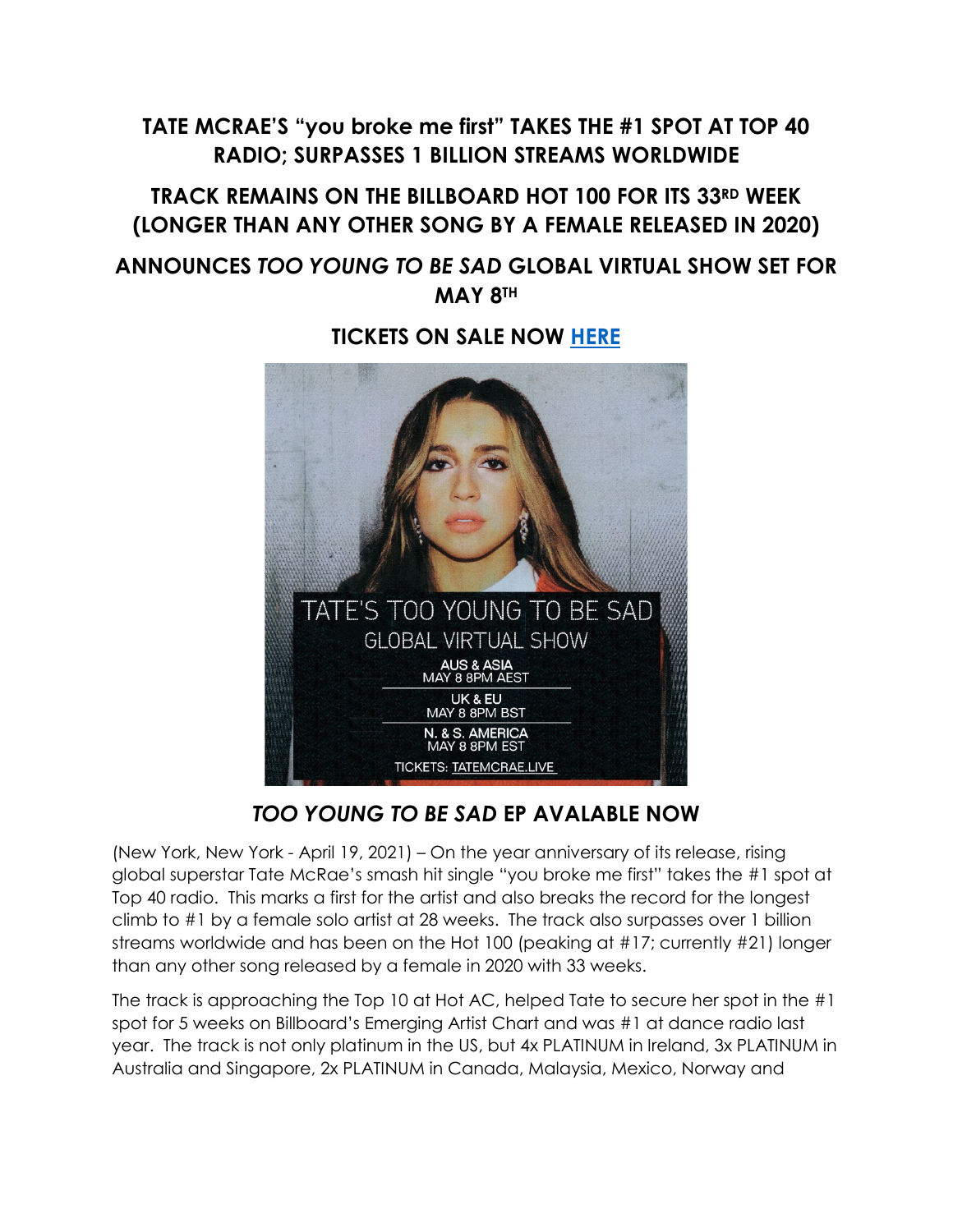# **TATE MCRAE'S "you broke me first" TAKES THE #1 SPOT AT TOP 40 RADIO; SURPASSES 1 BILLION STREAMS WORLDWIDE**

# **TRACK REMAINS ON THE BILLBOARD HOT 100 FOR ITS 33RD WEEK (LONGER THAN ANY OTHER SONG BY A FEMALE RELEASED IN 2020)**

## **ANNOUNCES** *TOO YOUNG TO BE SAD* **GLOBAL VIRTUAL SHOW SET FOR MAY 8TH**

### **TICKETS ON SALE NOW [HERE](https://shops.ticketmasterpartners.com/tate-mcrae?irgwc=1&utm_source=361433-Linkfire&utm_medium=affiliate&utm_campaign=361433&awtrc=&clickId=zT4XgcUouxyLW7VwUx0Mo37nUkES62wVyTKfUc0)**



## *TOO YOUNG TO BE SAD* **EP AVALABLE NOW**

(New York, New York - April 19, 2021) – On the year anniversary of its release, rising global superstar Tate McRae's smash hit single "you broke me first" takes the #1 spot at Top 40 radio. This marks a first for the artist and also breaks the record for the longest climb to #1 by a female solo artist at 28 weeks. The track also surpasses over 1 billion streams worldwide and has been on the Hot 100 (peaking at #17; currently #21) longer than any other song released by a female in 2020 with 33 weeks.

The track is approaching the Top 10 at Hot AC, helped Tate to secure her spot in the #1 spot for 5 weeks on Billboard's Emerging Artist Chart and was #1 at dance radio last year. The track is not only platinum in the US, but 4x PLATINUM in Ireland, 3x PLATINUM in Australia and Singapore, 2x PLATINUM in Canada, Malaysia, Mexico, Norway and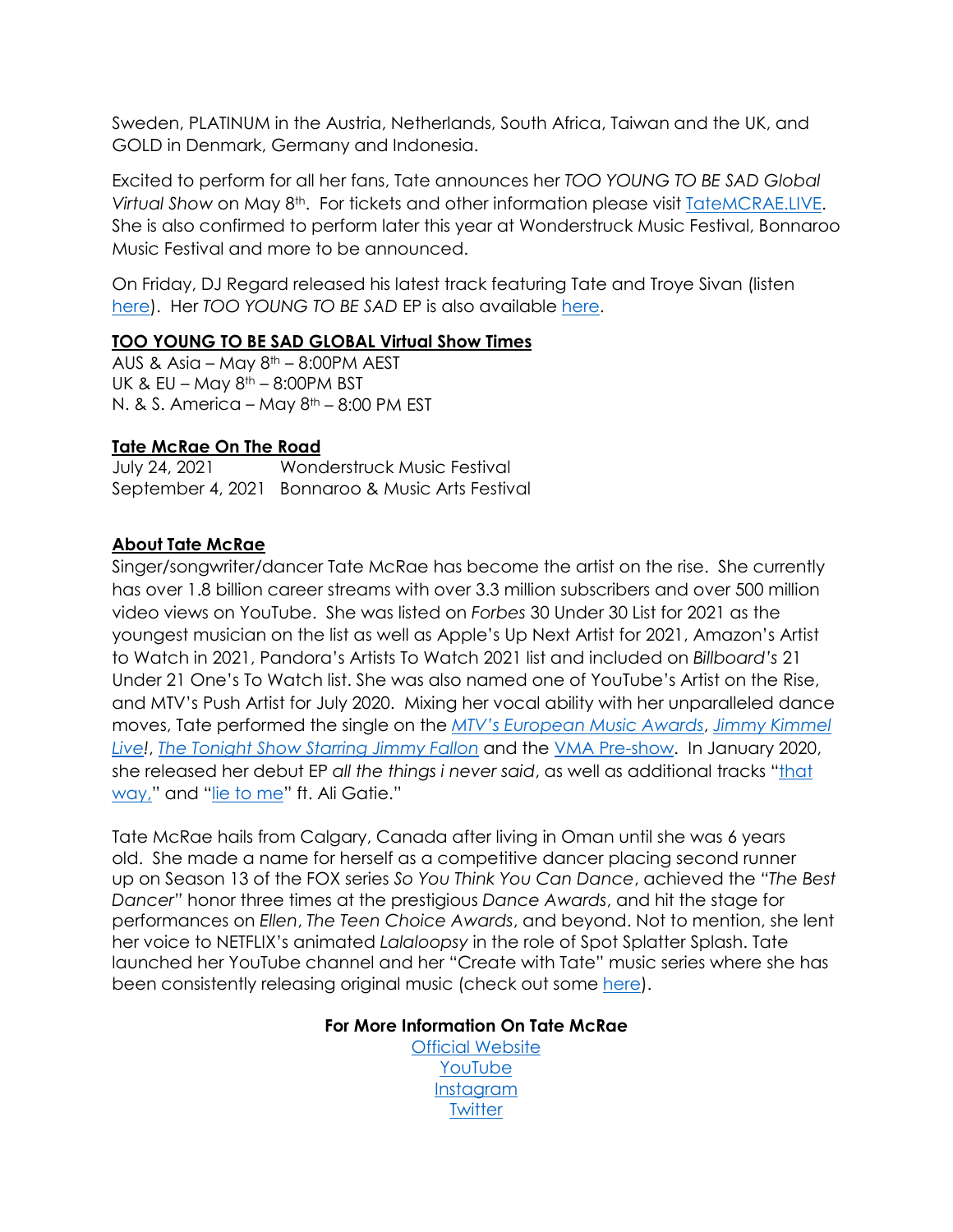Sweden, PLATINUM in the Austria, Netherlands, South Africa, Taiwan and the UK, and GOLD in Denmark, Germany and Indonesia.

Excited to perform for all her fans, Tate announces her *TOO YOUNG TO BE SAD Global Virtual Show* on May 8th. For tickets and other information please visit [TateMCRAE.LIVE.](https://shops.ticketmasterpartners.com/tate-mcrae?irgwc=1&utm_source=361433-Linkfire&utm_medium=affiliate&utm_campaign=361433&awtrc=&clickId=zT4XgcUouxyLW7VwUx0Mo37nUkES62wVyTKfUc0) She is also confirmed to perform later this year at Wonderstruck Music Festival, Bonnaroo Music Festival and more to be announced.

On Friday, DJ Regard released his latest track featuring Tate and Troye Sivan (listen [here\)](https://lnk.to/RegardTroyeTateYou). Her *TOO YOUNG TO BE SAD* EP is also available [here.](https://smarturl.it/tooyoungtobesad)

### **TOO YOUNG TO BE SAD GLOBAL Virtual Show Times**

AUS & Asia – May  $8<sup>th</sup>$  – 8:00PM AEST UK & EU – May  $8<sup>th</sup>$  – 8:00PM BST N. & S. America – May  $8<sup>th</sup>$  – 8:00 PM EST

#### **Tate McRae On The Road**

July 24, 2021 Wonderstruck Music Festival September 4, 2021 Bonnaroo & Music Arts Festival

#### **About Tate McRae**

Singer/songwriter/dancer Tate McRae has become the artist on the rise. She currently has over 1.8 billion career streams with over 3.3 million subscribers and over 500 million video views on YouTube. She was listed on *Forbes* 30 Under 30 List for 2021 as the youngest musician on the list as well as Apple's Up Next Artist for 2021, Amazon's Artist to Watch in 2021, Pandora's Artists To Watch 2021 list and included on *Billboard's* 21 Under 21 One's To Watch list. She was also named one of YouTube's Artist on the Rise, and MTV's Push Artist for July 2020. Mixing her vocal ability with her unparalleled dance moves, Tate performed the single on the *[MTV's European Music Awards](https://www.youtube.com/watch?v=CPnH-y6p2jk&list=RDCPnH-y6p2jk&start_radio=1&t=0)*, *[Jimmy Kimmel](https://www.youtube.com/watch?v=hEve0z3KJT4)  [Live!](https://www.youtube.com/watch?v=hEve0z3KJT4)*, *[The Tonight Show Starring Jimmy Fallon](https://www.youtube.com/watch?v=erUEuzdgobk&feature=youtu.be)* and the [VMA Pre-show.](https://www.youtube.com/watch?v=1drFJOMc5eY) In January 2020, she released her debut EP *all the things i never said*, as well as additional tracks ["that](https://smarturl.it/thatwayx)  [way,](https://smarturl.it/thatwayx)" and ["lie to me"](https://smarturl.it/LieToMex) ft. Ali Gatie."

Tate McRae hails from Calgary, Canada after living in Oman until she was 6 years old. She made a name for herself as a competitive dancer placing second runner up on Season 13 of the FOX series *So You Think You Can Dance*, achieved the *"The Best Dancer"* honor three times at the prestigious *Dance Awards*, and hit the stage for performances on *Ellen*, *The Teen Choice Awards*, and beyond. Not to mention, she lent her voice to NETFLIX's animated *Lalaloopsy* in the role of Spot Splatter Splash. Tate launched her YouTube channel and her "Create with Tate" music series where she has been consistently releasing original music (check out some [here\)](https://eur01.safelinks.protection.outlook.com/?url=https%3A%2F%2Fwww.youtube.com%2Fuser%2FTateMc7%2Ffeatured&data=02%7C01%7CMeghan.Kehoe%40rcarecords.com%7C85d1353d89154c1c73a708d7a0de9114%7Cf0aff3b791a54aaeaf71c63e1dda2049%7C0%7C0%7C637154750100648285&sdata=4gSvOX06KGHqKh2fpNSIhKr59J9EMLmb2ihPqnEwrM0%3D&reserved=0).

#### **For More Information On Tate McRae**

[Official Website](https://eur01.safelinks.protection.outlook.com/?url=https%3A%2F%2Fwww.tatemcrae.com%2F&data=02%7C01%7CMeghan.Kehoe%40rcarecords.com%7C85d1353d89154c1c73a708d7a0de9114%7Cf0aff3b791a54aaeaf71c63e1dda2049%7C0%7C0%7C637154750100668266&sdata=%2BMLzhmXcw%2FVV26UUomseH5Yis%2FI%2BxiLnLErchAW%2F6bk%3D&reserved=0) [YouTube](https://eur01.safelinks.protection.outlook.com/?url=https%3A%2F%2Fwww.youtube.com%2Fchannel%2FUCQh6LB206jF3JxpCDD-fp5Q&data=02%7C01%7CMeghan.Kehoe%40rcarecords.com%7C85d1353d89154c1c73a708d7a0de9114%7Cf0aff3b791a54aaeaf71c63e1dda2049%7C0%7C0%7C637154750100668266&sdata=E3wgDhdnGZgCn9AoGPtl7pV83%2FhHU%2FUDDtHreqsBe48%3D&reserved=0) [Instagram](https://eur01.safelinks.protection.outlook.com/?url=https%3A%2F%2Fwww.instagram.com%2Ftatemcrae%2F%3Fhl%3Den&data=02%7C01%7CMeghan.Kehoe%40rcarecords.com%7C85d1353d89154c1c73a708d7a0de9114%7Cf0aff3b791a54aaeaf71c63e1dda2049%7C0%7C0%7C637154750100678259&sdata=lQ2vTUW3FAQhTlO1sYE4TMMQwis%2Bcs1JvxwujMnYNEc%3D&reserved=0) **[Twitter](https://eur01.safelinks.protection.outlook.com/?url=https%3A%2F%2Ftwitter.com%2Ftatemcrae&data=02%7C01%7CMeghan.Kehoe%40rcarecords.com%7C85d1353d89154c1c73a708d7a0de9114%7Cf0aff3b791a54aaeaf71c63e1dda2049%7C0%7C0%7C637154750100678259&sdata=NAFyBWcaxfmeX8fNgD4SZ07Qdk9t3rD%2BBAPUfSlhEH0%3D&reserved=0)**